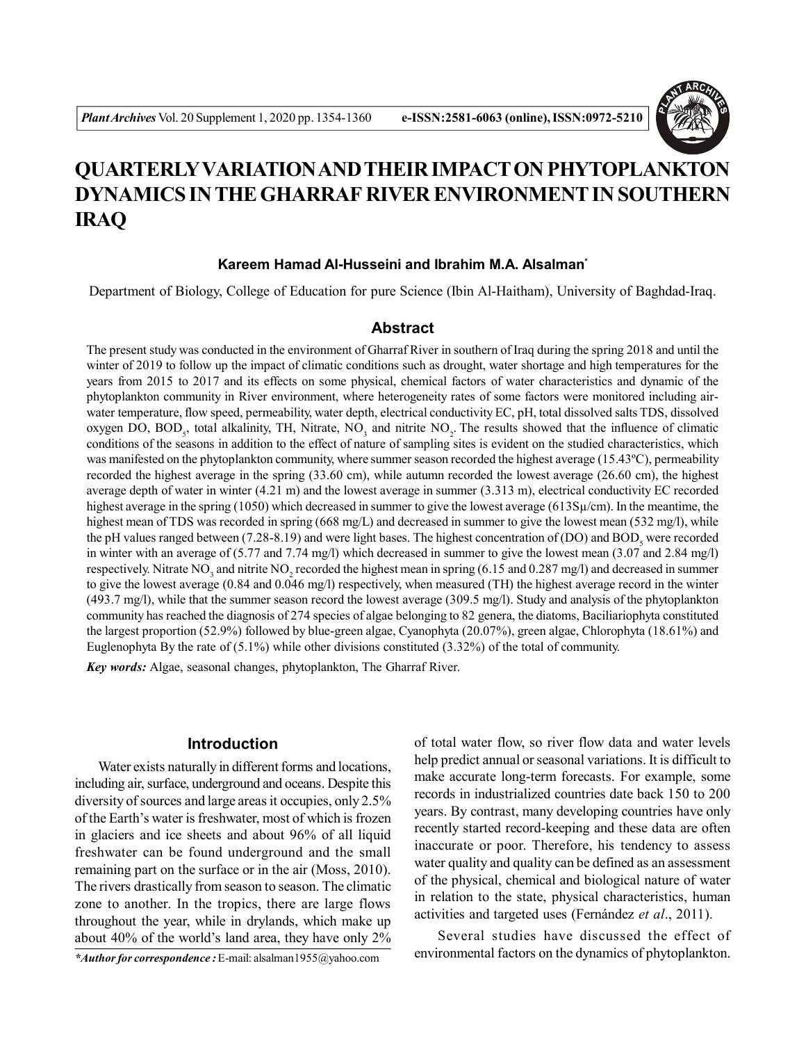

# **QUARTERLYVARIATION AND THEIR IMPACT ON PHYTOPLANKTON DYNAMICS IN THE GHARRAF RIVER ENVIRONMENT IN SOUTHERN IRAQ**

## **Kareem Hamad Al-Husseini and Ibrahim M.A. Alsalman\***

Department of Biology, College of Education for pure Science (Ibin Al-Haitham), University of Baghdad-Iraq.

# **Abstract**

The present study was conducted in the environment of Gharraf River in southern of Iraq during the spring 2018 and until the winter of 2019 to follow up the impact of climatic conditions such as drought, water shortage and high temperatures for the years from 2015 to 2017 and its effects on some physical, chemical factors of water characteristics and dynamic of the phytoplankton community in River environment, where heterogeneity rates of some factors were monitored including airwater temperature, flow speed, permeability, water depth, electrical conductivity EC, pH, total dissolved salts TDS, dissolved oxygen DO, BOD<sub>5</sub>, total alkalinity, TH, Nitrate, NO<sub>3</sub> and nitrite NO<sub>2</sub>. The results showed that the influence of climatic conditions of the seasons in addition to the effect of nature of sampling sites is evident on the studied characteristics, which was manifested on the phytoplankton community, where summer season recorded the highest average (15.43ºC), permeability recorded the highest average in the spring (33.60 cm), while autumn recorded the lowest average (26.60 cm), the highest average depth of water in winter (4.21 m) and the lowest average in summer (3.313 m), electrical conductivity EC recorded highest average in the spring (1050) which decreased in summer to give the lowest average (613Sµ/cm). In the meantime, the highest mean of TDS was recorded in spring (668 mg/L) and decreased in summer to give the lowest mean (532 mg/l), while the pH values ranged between (7.28-8.19) and were light bases. The highest concentration of (DO) and  $BOD<sub>5</sub>$  were recorded in winter with an average of (5.77 and 7.74 mg/l) which decreased in summer to give the lowest mean (3.07 and 2.84 mg/l) respectively. Nitrate NO<sub>3</sub> and nitrite NO<sub>2</sub> recorded the highest mean in spring (6.15 and 0.287 mg/l) and decreased in summer to give the lowest average (0.84 and 0.046 mg/l) respectively, when measured (TH) the highest average record in the winter (493.7 mg/l), while that the summer season record the lowest average (309.5 mg/l). Study and analysis of the phytoplankton community has reached the diagnosis of 274 species of algae belonging to 82 genera, the diatoms, Baciliariophyta constituted the largest proportion (52.9%) followed by blue-green algae, Cyanophyta (20.07%), green algae, Chlorophyta (18.61%) and Euglenophyta By the rate of (5.1%) while other divisions constituted (3.32%) of the total of community.

*Key words:* Algae, seasonal changes, phytoplankton, The Gharraf River.

# **Introduction**

Water exists naturally in different forms and locations, including air, surface, underground and oceans. Despite this diversity of sources and large areas it occupies, only 2.5% of the Earth's water is freshwater, most of which is frozen in glaciers and ice sheets and about 96% of all liquid freshwater can be found underground and the small remaining part on the surface or in the air (Moss, 2010). The rivers drastically from season to season. The climatic zone to another. In the tropics, there are large flows throughout the year, while in drylands, which make up about 40% of the world's land area, they have only 2%

of total water flow, so river flow data and water levels help predict annual or seasonal variations. It is difficult to make accurate long-term forecasts. For example, some records in industrialized countries date back 150 to 200 years. By contrast, many developing countries have only recently started record-keeping and these data are often inaccurate or poor. Therefore, his tendency to assess water quality and quality can be defined as an assessment of the physical, chemical and biological nature of water in relation to the state, physical characteristics, human activities and targeted uses (Fernández *et al*., 2011).

Several studies have discussed the effect of environmental factors on the dynamics of phytoplankton. *\*Author for correspondence :* E-mail: alsalman1955@yahoo.com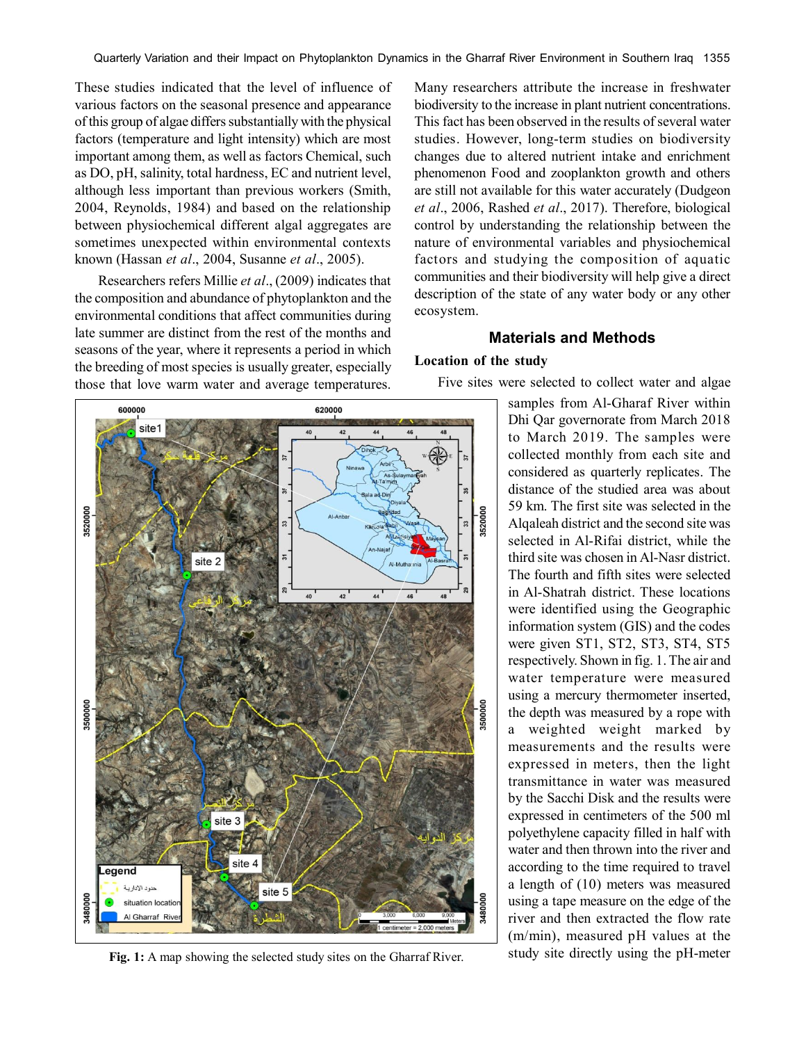These studies indicated that the level of influence of various factors on the seasonal presence and appearance of this group of algae differs substantially with the physical factors (temperature and light intensity) which are most important among them, as well as factors Chemical, such as DO, pH, salinity, total hardness, EC and nutrient level, although less important than previous workers (Smith, 2004, Reynolds, 1984) and based on the relationship between physiochemical different algal aggregates are sometimes unexpected within environmental contexts known (Hassan *et al*., 2004, Susanne *et al*., 2005).

Researchers refers Millie *et al*., (2009) indicates that the composition and abundance of phytoplankton and the environmental conditions that affect communities during late summer are distinct from the rest of the months and seasons of the year, where it represents a period in which the breeding of most species is usually greater, especially those that love warm water and average temperatures.

Many researchers attribute the increase in freshwater biodiversity to the increase in plant nutrient concentrations. This fact has been observed in the results of several water studies. However, long-term studies on biodiversity changes due to altered nutrient intake and enrichment phenomenon Food and zooplankton growth and others are still not available for this water accurately (Dudgeon *et al*., 2006, Rashed *et al*., 2017). Therefore, biological control by understanding the relationship between the nature of environmental variables and physiochemical factors and studying the composition of aquatic communities and their biodiversity will help give a direct description of the state of any water body or any other ecosystem.

## **Materials and Methods**

## **Location of the study**



Fig. 1: A map showing the selected study sites on the Gharraf River. study site directly using the pH-meter

Five sites were selected to collect water and algae

samples from Al-Gharaf River within Dhi Qar governorate from March 2018 to March 2019. The samples were collected monthly from each site and considered as quarterly replicates. The distance of the studied area was about 59 km. The first site was selected in the Alqaleah district and the second site was selected in Al-Rifai district, while the third site was chosen in Al-Nasr district. The fourth and fifth sites were selected in Al-Shatrah district. These locations were identified using the Geographic information system (GIS) and the codes were given ST1, ST2, ST3, ST4, ST5 respectively. Shown in fig. 1. The air and water temperature were measured using a mercury thermometer inserted, the depth was measured by a rope with a weighted weight marked by measurements and the results were expressed in meters, then the light transmittance in water was measured by the Sacchi Disk and the results were expressed in centimeters of the 500 ml polyethylene capacity filled in half with water and then thrown into the river and according to the time required to travel a length of (10) meters was measured using a tape measure on the edge of the river and then extracted the flow rate (m/min), measured pH values at the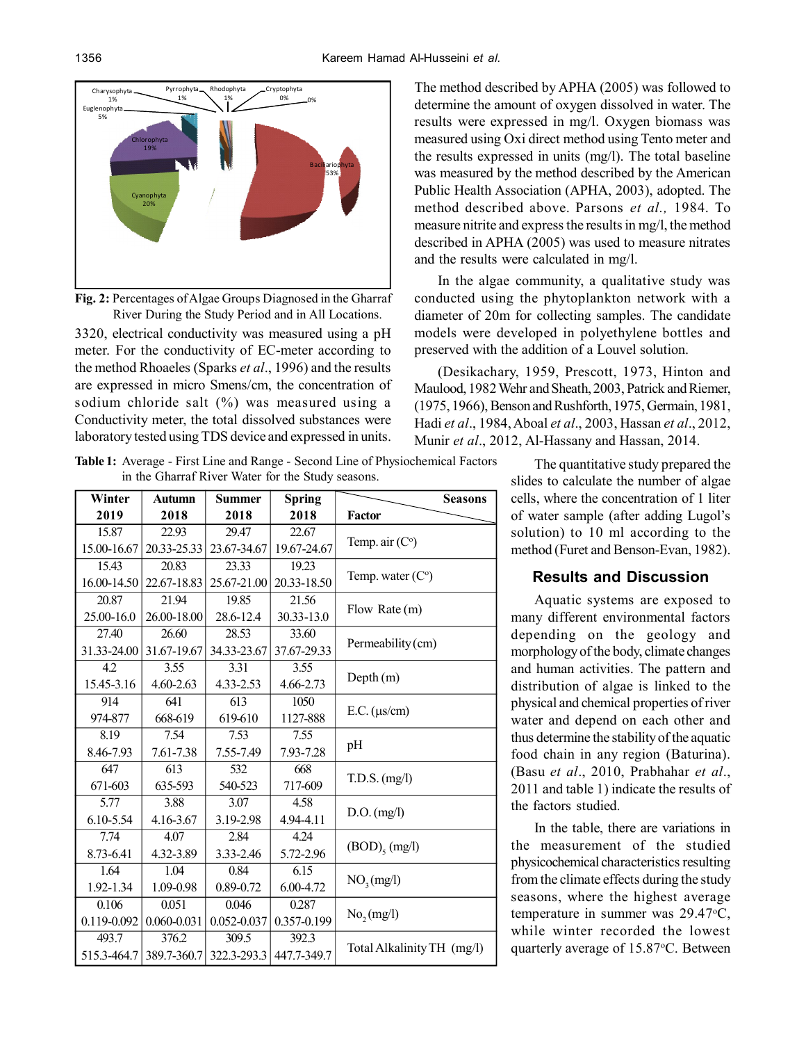

**Fig. 2:** Percentages of Algae Groups Diagnosed in the Gharraf River During the Study Period and in All Locations.

3320, electrical conductivity was measured using a pH meter. For the conductivity of EC-meter according to the method Rhoaeles (Sparks *et al*., 1996) and the results are expressed in micro Smens/cm, the concentration of sodium chloride salt (%) was measured using a Conductivity meter, the total dissolved substances were laboratory tested using TDS device and expressed in units.

The method described by APHA (2005) was followed to determine the amount of oxygen dissolved in water. The results were expressed in mg/l. Oxygen biomass was measured using Oxi direct method using Tento meter and the results expressed in units (mg/l). The total baseline was measured by the method described by the American Public Health Association (APHA, 2003), adopted. The method described above. Parsons *et al.,* 1984. To measure nitrite and express the results in mg/l, the method described in APHA (2005) was used to measure nitrates and the results were calculated in mg/l.

In the algae community, a qualitative study was conducted using the phytoplankton network with a diameter of 20m for collecting samples. The candidate models were developed in polyethylene bottles and preserved with the addition of a Louvel solution.

(Desikachary, 1959, Prescott, 1973, Hinton and Maulood, 1982 Wehr and Sheath, 2003, Patrick and Riemer, (1975, 1966), Benson and Rushforth, 1975, Germain, 1981, Hadi *et al*., 1984, Aboal *et al*., 2003, Hassan *et al*., 2012, Munir *et al*., 2012, Al-Hassany and Hassan, 2014.

**Table 1:** Average - First Line and Range - Second Line of Physiochemical Factors in the Gharraf River Water for the Study seasons.

| Winter      | <b>Autumn</b>   | <b>Summer</b> | <b>Spring</b> | <b>Seasons</b>             |
|-------------|-----------------|---------------|---------------|----------------------------|
| 2019        | 2018            | 2018          | 2018          | <b>Factor</b>              |
| 15.87       | 22.93           | 29.47         | 22.67         | Temp. air $(Co)$           |
| 15.00-16.67 | 20.33-25.33     | 23.67-34.67   | 19.67-24.67   |                            |
| 15.43       | 20.83           | 23.33         | 19.23         | Temp. water $(Co)$         |
| 16.00-14.50 | 22.67-18.83     | 25.67-21.00   | 20.33-18.50   |                            |
| 20.87       | 21.94           | 19.85         | 21.56         | Flow Rate (m)              |
| 25.00-16.0  | 26.00-18.00     | 28.6-12.4     | 30.33-13.0    |                            |
| 27.40       | 26.60           | 28.53         | 33.60         | Permeability (cm)          |
| 31.33-24.00 | 31.67-19.67     | 34.33-23.67   | 37.67-29.33   |                            |
| 4.2         | 3.55            | 3.31          | 3.55          | Depth(m)                   |
| 15.45-3.16  | $4.60 - 2.63$   | 4.33-2.53     | 4.66-2.73     |                            |
| 914         | 641             | 613           | 1050          | $E.C.$ ( $\mu s/cm$ )      |
| 974-877     | 668-619         | 619-610       | 1127-888      |                            |
| 8.19        | 7.54            | 7.53          | 7.55          | pH                         |
| 8.46-7.93   | 7.61-7.38       | 7.55-7.49     | 7.93-7.28     |                            |
| 647         | 613             | 532           | 668           | $T.D.S.$ $(mg/l)$          |
| 671-603     | 635-593         | 540-523       | 717-609       |                            |
| 5.77        | 3.88            | 3.07          | 4.58          | $D.O.$ (mg/l)              |
| 6.10-5.54   | 4.16-3.67       | 3.19-2.98     | 4.94-4.11     |                            |
| 7.74        | 4.07            | 2.84          | 4.24          | $(BOD)_{5}$ (mg/l)         |
| 8.73-6.41   | 4.32-3.89       | 3.33-2.46     | 5.72-2.96     |                            |
| 1.64        | 1.04            | 0.84          | 6.15          | NO <sub>3</sub> (mg/l)     |
| 1.92-1.34   | 1.09-0.98       | 0.89-0.72     | 6.00-4.72     |                            |
| 0.106       | 0.051           | 0.046         | 0.287         | No, (mg/l)                 |
| 0.119-0.092 | $0.060 - 0.031$ | 0.052-0.037   | 0.357-0.199   |                            |
| 493.7       | 376.2           | 309.5         | 392.3         | Total Alkalinity TH (mg/l) |
| 515.3-464.7 | 389.7-360.7     | 322.3-293.3   | 447.7-349.7   |                            |

The quantitative study prepared the slides to calculate the number of algae cells, where the concentration of 1 liter of water sample (after adding Lugol's solution) to 10 ml according to the method (Furet and Benson-Evan, 1982).

# **Results and Discussion**

Aquatic systems are exposed to many different environmental factors depending on the geology and morphology of the body, climate changes and human activities. The pattern and distribution of algae is linked to the physical and chemical properties of river water and depend on each other and thus determine the stability of the aquatic food chain in any region (Baturina). (Basu *et al*., 2010, Prabhahar *et al*., 2011 and table 1) indicate the results of the factors studied.

In the table, there are variations in the measurement of the studied physicochemical characteristics resulting from the climate effects during the study seasons, where the highest average temperature in summer was  $29.47^{\circ}$ C, while winter recorded the lowest quarterly average of 15.87 °C. Between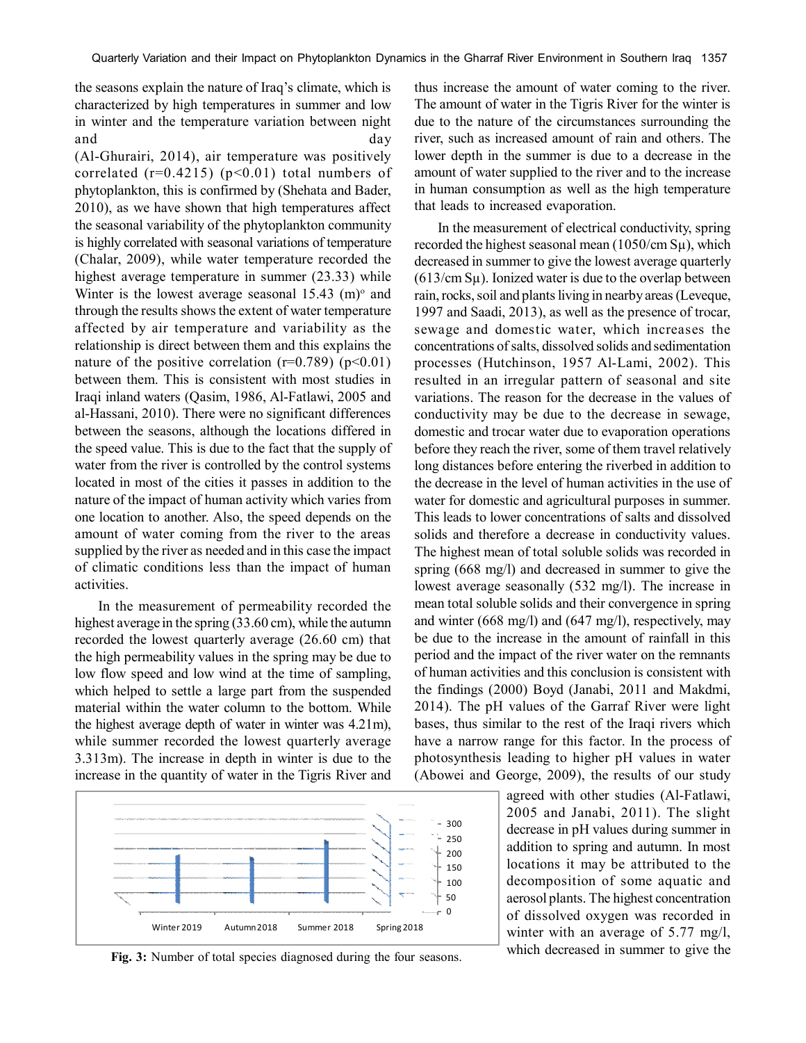the seasons explain the nature of Iraq's climate, which is characterized by high temperatures in summer and low in winter and the temperature variation between night and day

(Al-Ghurairi, 2014), air temperature was positively correlated  $(r=0.4215)$   $(p<0.01)$  total numbers of phytoplankton, this is confirmed by (Shehata and Bader, 2010), as we have shown that high temperatures affect the seasonal variability of the phytoplankton community is highly correlated with seasonal variations of temperature (Chalar, 2009), while water temperature recorded the highest average temperature in summer (23.33) while Winter is the lowest average seasonal  $15.43 \,$  (m) $\textdegree$  and through the results shows the extent of water temperature affected by air temperature and variability as the relationship is direct between them and this explains the nature of the positive correlation  $(r=0.789)$  (p<0.01) between them. This is consistent with most studies in Iraqi inland waters (Qasim, 1986, Al-Fatlawi, 2005 and al-Hassani, 2010). There were no significant differences between the seasons, although the locations differed in the speed value. This is due to the fact that the supply of water from the river is controlled by the control systems located in most of the cities it passes in addition to the nature of the impact of human activity which varies from one location to another. Also, the speed depends on the amount of water coming from the river to the areas supplied by the river as needed and in this case the impact of climatic conditions less than the impact of human activities.

In the measurement of permeability recorded the highest average in the spring (33.60 cm), while the autumn recorded the lowest quarterly average (26.60 cm) that the high permeability values in the spring may be due to low flow speed and low wind at the time of sampling, which helped to settle a large part from the suspended material within the water column to the bottom. While the highest average depth of water in winter was 4.21m), while summer recorded the lowest quarterly average 3.313m). The increase in depth in winter is due to the increase in the quantity of water in the Tigris River and



Fig. 3: Number of total species diagnosed during the four seasons. Which decreased in summer to give the

thus increase the amount of water coming to the river. The amount of water in the Tigris River for the winter is due to the nature of the circumstances surrounding the river, such as increased amount of rain and others. The lower depth in the summer is due to a decrease in the amount of water supplied to the river and to the increase in human consumption as well as the high temperature that leads to increased evaporation.

In the measurement of electrical conductivity, spring recorded the highest seasonal mean (1050/cm Sµ), which decreased in summer to give the lowest average quarterly  $(613/cm S<sub>\mu</sub>)$ . Ionized water is due to the overlap between rain, rocks, soil and plants living in nearby areas (Leveque, 1997 and Saadi, 2013), as well as the presence of trocar, sewage and domestic water, which increases the concentrations of salts, dissolved solids and sedimentation processes (Hutchinson, 1957 Al-Lami, 2002). This resulted in an irregular pattern of seasonal and site variations. The reason for the decrease in the values of conductivity may be due to the decrease in sewage, domestic and trocar water due to evaporation operations before they reach the river, some of them travel relatively long distances before entering the riverbed in addition to the decrease in the level of human activities in the use of water for domestic and agricultural purposes in summer. This leads to lower concentrations of salts and dissolved solids and therefore a decrease in conductivity values. The highest mean of total soluble solids was recorded in spring (668 mg/l) and decreased in summer to give the lowest average seasonally (532 mg/l). The increase in mean total soluble solids and their convergence in spring and winter (668 mg/l) and (647 mg/l), respectively, may be due to the increase in the amount of rainfall in this period and the impact of the river water on the remnants of human activities and this conclusion is consistent with the findings (2000) Boyd (Janabi, 2011 and Makdmi, 2014). The pH values of the Garraf River were light bases, thus similar to the rest of the Iraqi rivers which have a narrow range for this factor. In the process of photosynthesis leading to higher pH values in water (Abowei and George, 2009), the results of our study

> agreed with other studies (Al-Fatlawi, 2005 and Janabi, 2011). The slight decrease in pH values during summer in addition to spring and autumn. In most locations it may be attributed to the decomposition of some aquatic and aerosol plants. The highest concentration of dissolved oxygen was recorded in winter with an average of 5.77 mg/l,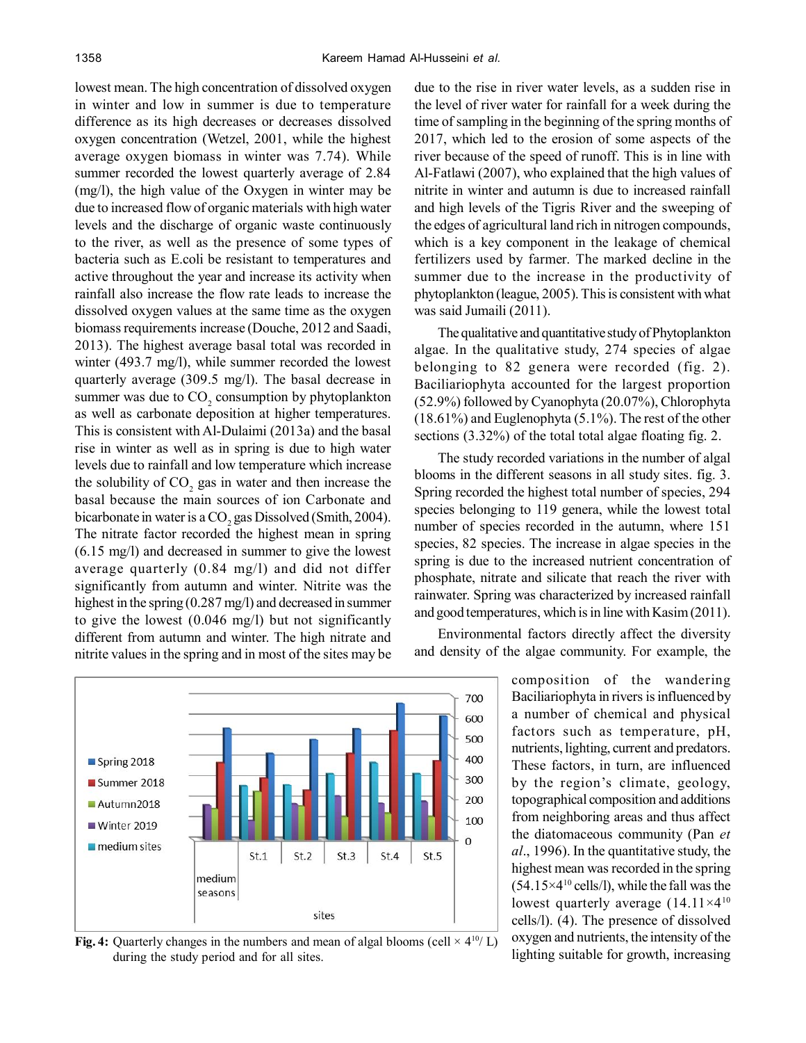lowest mean. The high concentration of dissolved oxygen in winter and low in summer is due to temperature difference as its high decreases or decreases dissolved oxygen concentration (Wetzel, 2001, while the highest average oxygen biomass in winter was 7.74). While summer recorded the lowest quarterly average of 2.84 (mg/l), the high value of the Oxygen in winter may be due to increased flow of organic materials with high water levels and the discharge of organic waste continuously to the river, as well as the presence of some types of bacteria such as E.coli be resistant to temperatures and active throughout the year and increase its activity when rainfall also increase the flow rate leads to increase the dissolved oxygen values at the same time as the oxygen biomass requirements increase (Douche, 2012 and Saadi, 2013). The highest average basal total was recorded in winter (493.7 mg/l), while summer recorded the lowest quarterly average (309.5 mg/l). The basal decrease in summer was due to  $CO_2$  consumption by phytoplankton as well as carbonate deposition at higher temperatures. This is consistent with Al-Dulaimi (2013a) and the basal rise in winter as well as in spring is due to high water levels due to rainfall and low temperature which increase the solubility of  $CO<sub>2</sub>$  gas in water and then increase the basal because the main sources of ion Carbonate and bicarbonate in water is a  $\mathrm{CO}_2$  gas Dissolved (Smith, 2004). The nitrate factor recorded the highest mean in spring (6.15 mg/l) and decreased in summer to give the lowest average quarterly (0.84 mg/l) and did not differ significantly from autumn and winter. Nitrite was the highest in the spring (0.287 mg/l) and decreased in summer to give the lowest (0.046 mg/l) but not significantly different from autumn and winter. The high nitrate and nitrite values in the spring and in most of the sites may be



**Fig. 4:** Quarterly changes in the numbers and mean of algal blooms (cell  $\times$  4<sup>10</sup>/ L) during the study period and for all sites.

due to the rise in river water levels, as a sudden rise in the level of river water for rainfall for a week during the time of sampling in the beginning of the spring months of 2017, which led to the erosion of some aspects of the river because of the speed of runoff. This is in line with Al-Fatlawi (2007), who explained that the high values of nitrite in winter and autumn is due to increased rainfall and high levels of the Tigris River and the sweeping of the edges of agricultural land rich in nitrogen compounds, which is a key component in the leakage of chemical fertilizers used by farmer. The marked decline in the summer due to the increase in the productivity of phytoplankton (league, 2005). This is consistent with what was said Jumaili (2011).

The qualitative and quantitative study of Phytoplankton algae. In the qualitative study, 274 species of algae belonging to 82 genera were recorded (fig. 2). Baciliariophyta accounted for the largest proportion (52.9%) followed by Cyanophyta (20.07%), Chlorophyta (18.61%) and Euglenophyta (5.1%). The rest of the other sections (3.32%) of the total total algae floating fig. 2.

The study recorded variations in the number of algal blooms in the different seasons in all study sites. fig. 3. Spring recorded the highest total number of species, 294 species belonging to 119 genera, while the lowest total number of species recorded in the autumn, where 151 species, 82 species. The increase in algae species in the spring is due to the increased nutrient concentration of phosphate, nitrate and silicate that reach the river with rainwater. Spring was characterized by increased rainfall and good temperatures, which is in line with Kasim (2011).

Environmental factors directly affect the diversity and density of the algae community. For example, the

> composition of the wandering Baciliariophyta in rivers is influenced by a number of chemical and physical factors such as temperature, pH, nutrients, lighting, current and predators. These factors, in turn, are influenced by the region's climate, geology, topographical composition and additions from neighboring areas and thus affect the diatomaceous community (Pan *et al*., 1996). In the quantitative study, the highest mean was recorded in the spring  $(54.15\times4^{10}$  cells/l), while the fall was the lowest quarterly average (14.11×4<sup>10</sup> cells/l). (4). The presence of dissolved oxygen and nutrients, the intensity of the lighting suitable for growth, increasing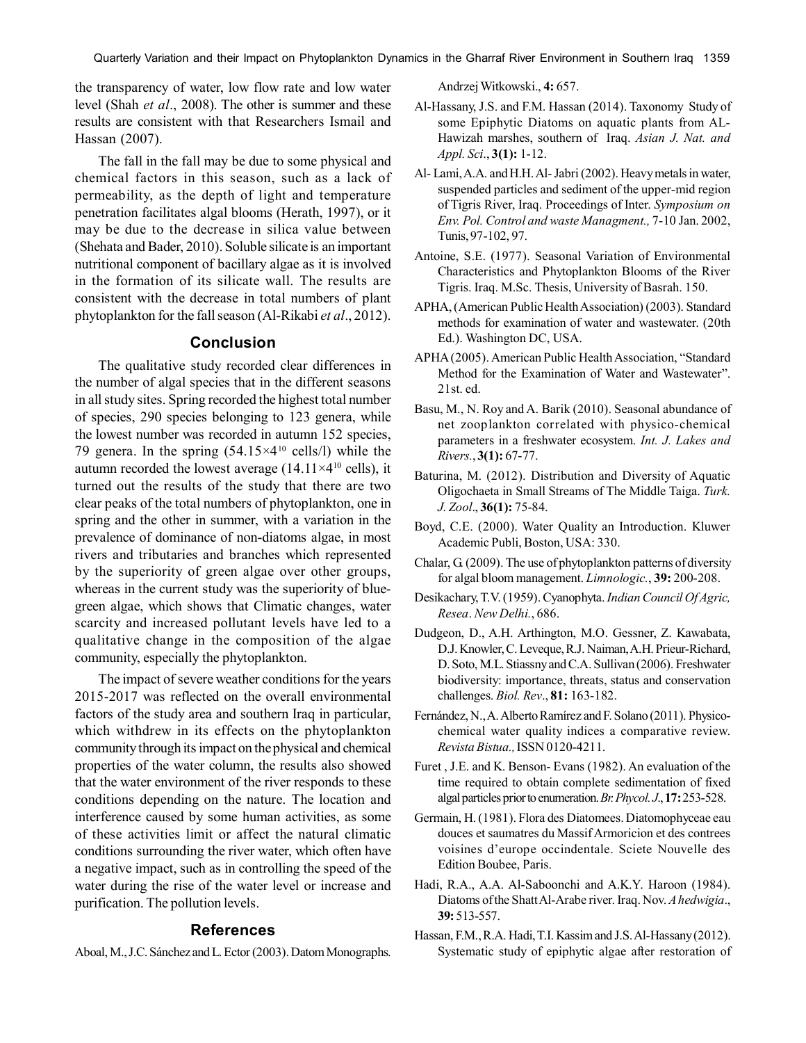the transparency of water, low flow rate and low water level (Shah *et al*., 2008). The other is summer and these results are consistent with that Researchers Ismail and Hassan (2007).

The fall in the fall may be due to some physical and chemical factors in this season, such as a lack of permeability, as the depth of light and temperature penetration facilitates algal blooms (Herath, 1997), or it may be due to the decrease in silica value between (Shehata and Bader, 2010). Soluble silicate is an important nutritional component of bacillary algae as it is involved in the formation of its silicate wall. The results are consistent with the decrease in total numbers of plant phytoplankton for the fall season (Al-Rikabi *et al*., 2012).

# **Conclusion**

The qualitative study recorded clear differences in the number of algal species that in the different seasons in all study sites. Spring recorded the highest total number of species, 290 species belonging to 123 genera, while the lowest number was recorded in autumn 152 species, 79 genera. In the spring  $(54.15\times4^{10} \text{ cells/l})$  while the autumn recorded the lowest average  $(14.11\times4^{10} \text{ cells})$ , it turned out the results of the study that there are two clear peaks of the total numbers of phytoplankton, one in spring and the other in summer, with a variation in the prevalence of dominance of non-diatoms algae, in most rivers and tributaries and branches which represented by the superiority of green algae over other groups, whereas in the current study was the superiority of bluegreen algae, which shows that Climatic changes, water scarcity and increased pollutant levels have led to a qualitative change in the composition of the algae community, especially the phytoplankton.

The impact of severe weather conditions for the years 2015-2017 was reflected on the overall environmental factors of the study area and southern Iraq in particular, which withdrew in its effects on the phytoplankton community through its impact on the physical and chemical properties of the water column, the results also showed that the water environment of the river responds to these conditions depending on the nature. The location and interference caused by some human activities, as some of these activities limit or affect the natural climatic conditions surrounding the river water, which often have a negative impact, such as in controlling the speed of the water during the rise of the water level or increase and purification. The pollution levels.

## **References**

Aboal, M., J.C. Sánchez and L. Ector (2003). Datom Monographs.

Andrzej Witkowski., **4:** 657.

- Al-Hassany, J.S. and F.M. Hassan (2014). Taxonomy Study of some Epiphytic Diatoms on aquatic plants from AL-Hawizah marshes, southern of Iraq. *Asian J. Nat. and Appl. Sci*., **3(1):** 1-12.
- Al- Lami, A.A. and H.H. Al- Jabri (2002). Heavy metals in water, suspended particles and sediment of the upper-mid region of Tigris River, Iraq. Proceedings of Inter. *Symposium on Env. Pol. Control and waste Managment.,* 7-10 Jan. 2002, Tunis, 97-102, 97.
- Antoine, S.E. (1977). Seasonal Variation of Environmental Characteristics and Phytoplankton Blooms of the River Tigris. Iraq. M.Sc. Thesis, University of Basrah. 150.
- APHA, (American Public Health Association) (2003). Standard methods for examination of water and wastewater. (20th Ed.). Washington DC, USA.
- APHA (2005). American Public Health Association, "Standard Method for the Examination of Water and Wastewater". 21st. ed.
- Basu, M., N. Roy and A. Barik (2010). Seasonal abundance of net zooplankton correlated with physico-chemical parameters in a freshwater ecosystem. *Int. J. Lakes and Rivers.*, **3(1):** 67-77.
- Baturina, M. (2012). Distribution and Diversity of Aquatic Oligochaeta in Small Streams of The Middle Taiga. *Turk. J. Zool*., **36(1):** 75-84.
- Boyd, C.E. (2000). Water Quality an Introduction. Kluwer Academic Publi, Boston, USA: 330.
- Chalar, G. (2009). The use of phytoplankton patterns of diversity for algal bloom management. *Limnologic.*, **39:** 200-208.
- Desikachary, T.V. (1959). Cyanophyta. *Indian Council Of Agric, Resea*. *New Delhi.*, 686.
- Dudgeon, D., A.H. Arthington, M.O. Gessner, Z. Kawabata, D.J. Knowler, C. Leveque, R.J. Naiman, A.H. Prieur-Richard, D. Soto, M.L. Stiassny and C.A. Sullivan (2006). Freshwater biodiversity: importance, threats, status and conservation challenges. *Biol. Rev*., **81:** 163-182.
- Fernández, N., A. Alberto Ramírez and F. Solano (2011). Physicochemical water quality indices a comparative review. *Revista Bistua.,* ISSN 0120-4211.
- Furet , J.E. and K. Benson- Evans (1982). An evaluation of the time required to obtain complete sedimentation of fixed algal particles prior to enumeration. *Br. Phycol. J*., **17:** 253-528.
- Germain, H. (1981). Flora des Diatomees. Diatomophyceae eau douces et saumatres du Massif Armoricion et des contrees voisines d'europe occindentale. Sciete Nouvelle des Edition Boubee, Paris.
- Hadi, R.A., A.A. Al-Saboonchi and A.K.Y. Haroon (1984). Diatoms of the Shatt Al-Arabe river. Iraq. Nov. *A hedwigia*., **39:** 513-557.
- Hassan, F.M., R.A. Hadi, T.I. Kassim and J.S. Al-Hassany (2012). Systematic study of epiphytic algae after restoration of